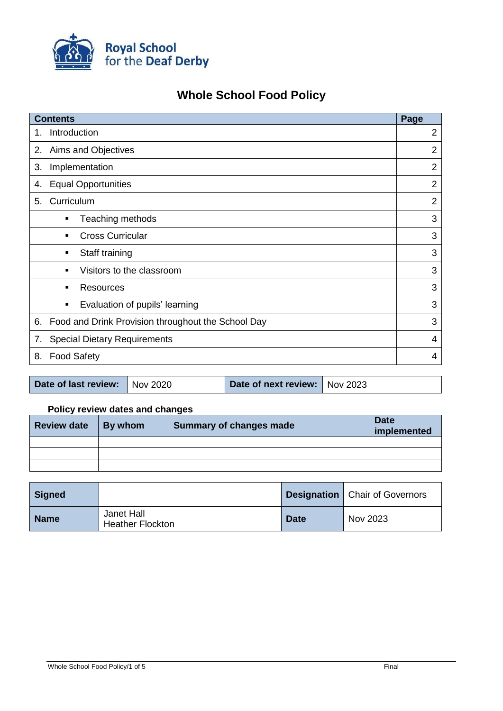

# **Whole School Food Policy**

| <b>Contents</b> |                                                    |                |  |
|-----------------|----------------------------------------------------|----------------|--|
| 1.              | Introduction                                       |                |  |
| 2.              | Aims and Objectives                                |                |  |
| 3.              | Implementation                                     |                |  |
| 4.              | <b>Equal Opportunities</b>                         |                |  |
| 5.              | Curriculum                                         | $\overline{2}$ |  |
|                 | Teaching methods<br>٠                              | 3              |  |
|                 | <b>Cross Curricular</b>                            | 3              |  |
|                 | Staff training<br>٠                                | 3              |  |
|                 | Visitors to the classroom                          | 3              |  |
|                 | Resources<br>٠                                     | 3              |  |
|                 | Evaluation of pupils' learning<br>٠                | 3              |  |
| 6.              | Food and Drink Provision throughout the School Day |                |  |
| 7.              | <b>Special Dietary Requirements</b>                |                |  |
| 8.              | <b>Food Safety</b>                                 |                |  |
|                 |                                                    |                |  |

| Date of last review: Nov 2020 |  | Date of next review: Nov 2023 |  |
|-------------------------------|--|-------------------------------|--|
|-------------------------------|--|-------------------------------|--|

# **Policy review dates and changes**

| <b>Review date</b> | By whom | Summary of changes made | <b>Date</b><br>implemented |
|--------------------|---------|-------------------------|----------------------------|
|                    |         |                         |                            |
|                    |         |                         |                            |
|                    |         |                         |                            |

| Signed      |                                       |             | <b>Designation</b>   Chair of Governors |
|-------------|---------------------------------------|-------------|-----------------------------------------|
| <b>Name</b> | Janet Hall<br><b>Heather Flockton</b> | <b>Date</b> | Nov 2023                                |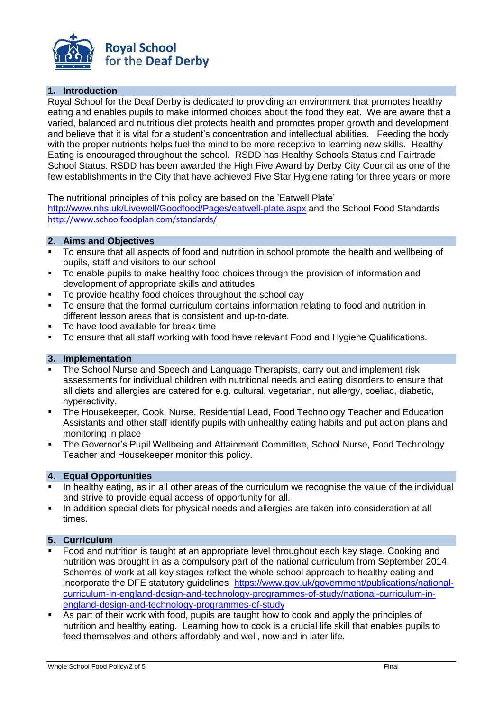

# **1. Introduction**

Royal School for the Deaf Derby is dedicated to providing an environment that promotes healthy eating and enables pupils to make informed choices about the food they eat. We are aware that a varied, balanced and nutritious diet protects health and promotes proper growth and development and believe that it is vital for a student's concentration and intellectual abilities. Feeding the body with the proper nutrients helps fuel the mind to be more receptive to learning new skills. Healthy Eating is encouraged throughout the school. RSDD has Healthy Schools Status and Fairtrade School Status. RSDD has been awarded the High Five Award by Derby City Council as one of the few establishments in the City that have achieved Five Star Hygiene rating for three years or more

The nutritional principles of this policy are based on the 'Eatwell Plate'

<http://www.nhs.uk/Livewell/Goodfood/Pages/eatwell-plate.aspx> and the School Food Standards <http://www.schoolfoodplan.com/standards/>

# **2. Aims and Objectives**

- To ensure that all aspects of food and nutrition in school promote the health and wellbeing of pupils, staff and visitors to our school
- To enable pupils to make healthy food choices through the provision of information and development of appropriate skills and attitudes
- To provide healthy food choices throughout the school day
- To ensure that the formal curriculum contains information relating to food and nutrition in different lesson areas that is consistent and up-to-date.
- To have food available for break time
- To ensure that all staff working with food have relevant Food and Hygiene Qualifications.

#### **3. Implementation**

- The School Nurse and Speech and Language Therapists, carry out and implement risk assessments for individual children with nutritional needs and eating disorders to ensure that all diets and allergies are catered for e.g. cultural, vegetarian, nut allergy, coeliac, diabetic, hyperactivity,
- The Housekeeper, Cook, Nurse, Residential Lead, Food Technology Teacher and Education Assistants and other staff identify pupils with unhealthy eating habits and put action plans and monitoring in place
- The Governor's Pupil Wellbeing and Attainment Committee, School Nurse, Food Technology Teacher and Housekeeper monitor this policy.

#### **4. Equal Opportunities**

- In healthy eating, as in all other areas of the curriculum we recognise the value of the individual and strive to provide equal access of opportunity for all.
- In addition special diets for physical needs and allergies are taken into consideration at all times.

## **5. Curriculum**

- Food and nutrition is taught at an appropriate level throughout each key stage. Cooking and nutrition was brought in as a compulsory part of the national curriculum from September 2014. Schemes of work at all key stages reflect the whole school approach to healthy eating and incorporate the DFE statutory guidelines [https://www.gov.uk/government/publications/national](https://www.gov.uk/government/publications/national-curriculum-in-england-design-and-technology-programmes-of-study/national-curriculum-in-england-design-and-technology-programmes-of-study)[curriculum-in-england-design-and-technology-programmes-of-study/national-curriculum-in](https://www.gov.uk/government/publications/national-curriculum-in-england-design-and-technology-programmes-of-study/national-curriculum-in-england-design-and-technology-programmes-of-study)[england-design-and-technology-programmes-of-study](https://www.gov.uk/government/publications/national-curriculum-in-england-design-and-technology-programmes-of-study/national-curriculum-in-england-design-and-technology-programmes-of-study)
- As part of their work with food, pupils are taught how to cook and apply the principles of nutrition and healthy eating. Learning how to cook is a crucial life skill that enables pupils to feed themselves and others affordably and well, now and in later life.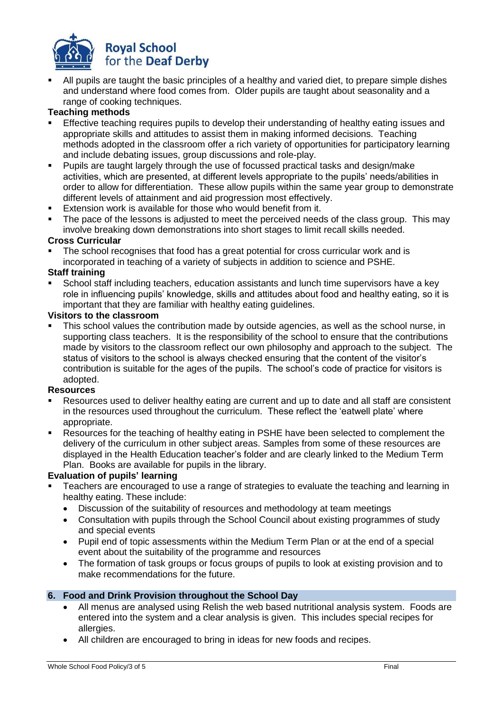

 All pupils are taught the basic principles of a healthy and varied diet, to prepare simple dishes and understand where food comes from. Older pupils are taught about seasonality and a range of cooking techniques.

# **Teaching methods**

- Effective teaching requires pupils to develop their understanding of healthy eating issues and appropriate skills and attitudes to assist them in making informed decisions. Teaching methods adopted in the classroom offer a rich variety of opportunities for participatory learning and include debating issues, group discussions and role-play.
- Pupils are taught largely through the use of focussed practical tasks and design/make activities, which are presented, at different levels appropriate to the pupils' needs/abilities in order to allow for differentiation. These allow pupils within the same year group to demonstrate different levels of attainment and aid progression most effectively.
- Extension work is available for those who would benefit from it.
- The pace of the lessons is adjusted to meet the perceived needs of the class group. This may involve breaking down demonstrations into short stages to limit recall skills needed.

## **Cross Curricular**

 The school recognises that food has a great potential for cross curricular work and is incorporated in teaching of a variety of subjects in addition to science and PSHE.

## **Staff training**

 School staff including teachers, education assistants and lunch time supervisors have a key role in influencing pupils' knowledge, skills and attitudes about food and healthy eating, so it is important that they are familiar with healthy eating guidelines.

## **Visitors to the classroom**

 This school values the contribution made by outside agencies, as well as the school nurse, in supporting class teachers. It is the responsibility of the school to ensure that the contributions made by visitors to the classroom reflect our own philosophy and approach to the subject. The status of visitors to the school is always checked ensuring that the content of the visitor's contribution is suitable for the ages of the pupils. The school's code of practice for visitors is adopted.

# **Resources**

- Resources used to deliver healthy eating are current and up to date and all staff are consistent in the resources used throughout the curriculum. These reflect the 'eatwell plate' where appropriate.
- Resources for the teaching of healthy eating in PSHE have been selected to complement the delivery of the curriculum in other subject areas. Samples from some of these resources are displayed in the Health Education teacher's folder and are clearly linked to the Medium Term Plan. Books are available for pupils in the library.

# **Evaluation of pupils' learning**

- Teachers are encouraged to use a range of strategies to evaluate the teaching and learning in healthy eating. These include:
	- Discussion of the suitability of resources and methodology at team meetings
	- Consultation with pupils through the School Council about existing programmes of study and special events
	- Pupil end of topic assessments within the Medium Term Plan or at the end of a special event about the suitability of the programme and resources
	- The formation of task groups or focus groups of pupils to look at existing provision and to make recommendations for the future.

# **6. Food and Drink Provision throughout the School Day**

- All menus are analysed using Relish the web based nutritional analysis system. Foods are entered into the system and a clear analysis is given. This includes special recipes for allergies.
- All children are encouraged to bring in ideas for new foods and recipes.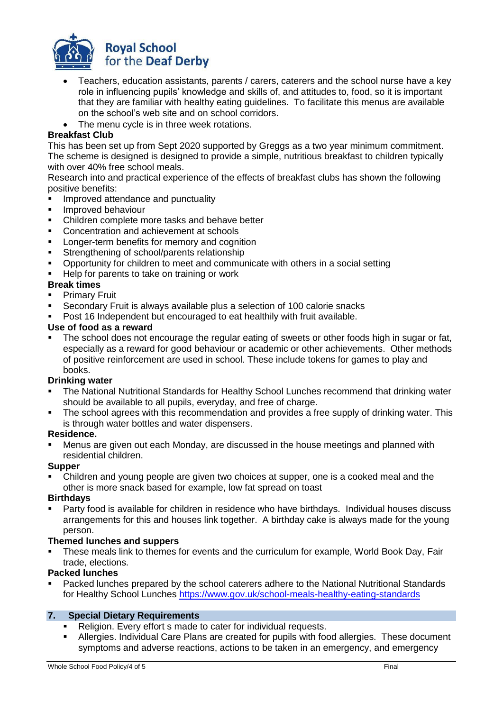

- Teachers, education assistants, parents / carers, caterers and the school nurse have a key role in influencing pupils' knowledge and skills of, and attitudes to, food, so it is important that they are familiar with healthy eating guidelines. To facilitate this menus are available on the school's web site and on school corridors.
- The menu cycle is in three week rotations.

# **Breakfast Club**

This has been set up from Sept 2020 supported by Greggs as a two year minimum commitment. The scheme is designed is designed to provide a simple, nutritious breakfast to children typically with over 40% free school meals.

Research into and practical experience of the effects of breakfast clubs has shown the following positive benefits:

- Improved attendance and punctuality
- **Improved behaviour**
- Children complete more tasks and behave better
- Concentration and achievement at schools
- **Longer-term benefits for memory and cognition**
- **Strengthening of school/parents relationship**
- Opportunity for children to meet and communicate with others in a social setting
- Help for parents to take on training or work

# **Break times**

- Primary Fruit
- Secondary Fruit is always available plus a selection of 100 calorie snacks
- Post 16 Independent but encouraged to eat healthily with fruit available.

# **Use of food as a reward**

 The school does not encourage the regular eating of sweets or other foods high in sugar or fat, especially as a reward for good behaviour or academic or other achievements. Other methods of positive reinforcement are used in school. These include tokens for games to play and books.

# **Drinking water**

- The National Nutritional Standards for Healthy School Lunches recommend that drinking water should be available to all pupils, everyday, and free of charge.
- The school agrees with this recommendation and provides a free supply of drinking water. This is through water bottles and water dispensers.

# **Residence.**

 Menus are given out each Monday, are discussed in the house meetings and planned with residential children.

# **Supper**

 Children and young people are given two choices at supper, one is a cooked meal and the other is more snack based for example, low fat spread on toast

# **Birthdays**

 Party food is available for children in residence who have birthdays. Individual houses discuss arrangements for this and houses link together. A birthday cake is always made for the young person.

# **Themed lunches and suppers**

 These meals link to themes for events and the curriculum for example, World Book Day, Fair trade, elections.

# **Packed lunches**

 Packed lunches prepared by the school caterers adhere to the National Nutritional Standards for Healthy School Lunches <https://www.gov.uk/school-meals-healthy-eating-standards>

# **7. Special Dietary Requirements**

- Religion. Every effort s made to cater for individual requests.
- Allergies. Individual Care Plans are created for pupils with food allergies. These document symptoms and adverse reactions, actions to be taken in an emergency, and emergency